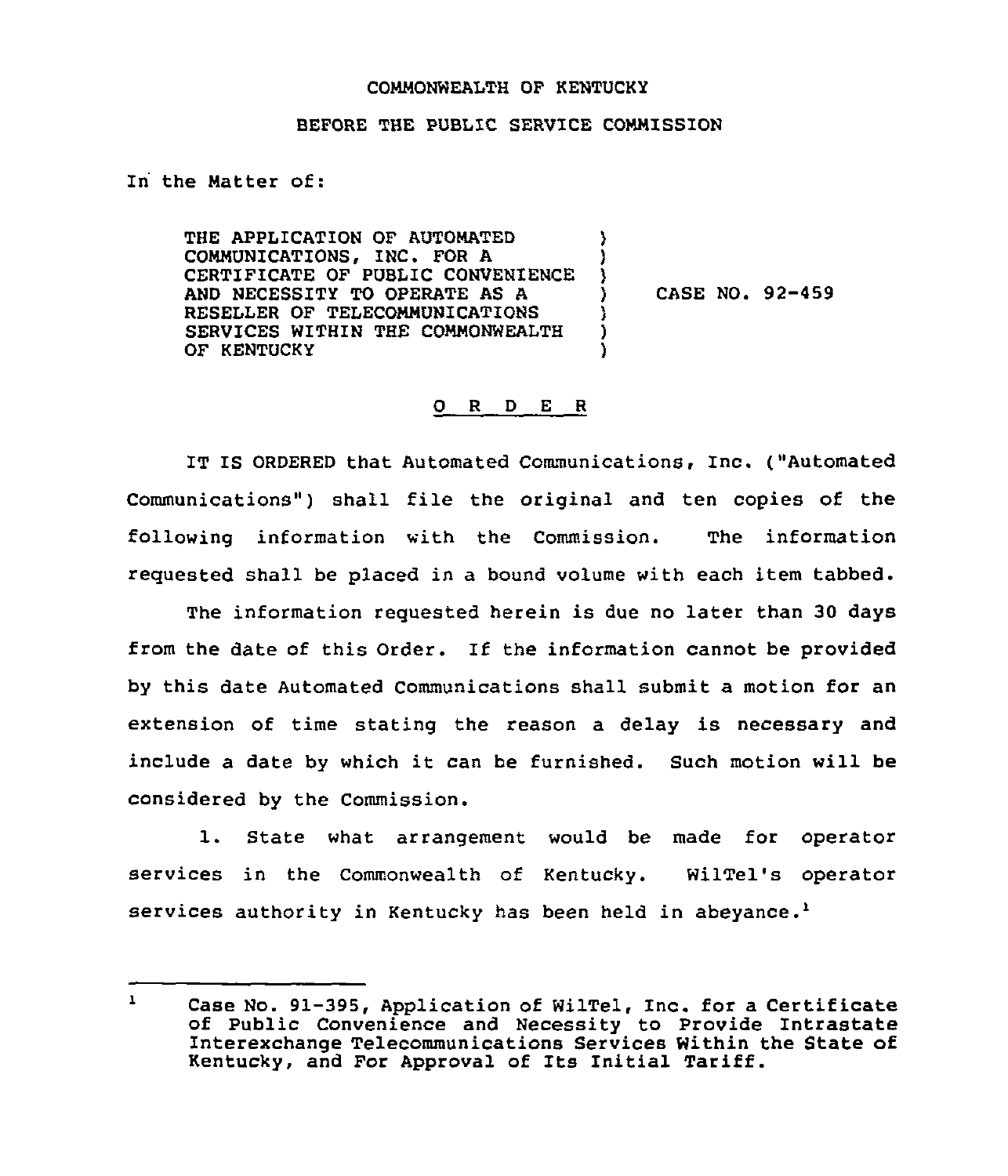## COMMONWEALTH OF KENTUCKY

## BEFORE THE PUBLIC SERVICE COMMISSION

)<br>)

 $\mathbf{A}$ 

) )

In the Natter of:

THE APPLICATION QF AUTOMATED COMMUNICATIONS, INC. FOR A CERTIFICATE OF PUBLIC CONVENIENCE AND NECESSITY TO OPERATE AS A RESELLER OF TELECOMMUNICATIONS SERVICES WITHIN THE COMMONWEALTH OF KENTUCKY

 $)$  CASE NO. 92-459

## 0 R <sup>D</sup> E <sup>R</sup>

IT IS ORDERED that Automated Communications, Inc. ("Automated Communications") shall file the original and ten copies of the following information with the Commission. The information requested shall be placed in a bound volume with each item tabbed.

The information requested herein is due no later than 30 days from the date of this Order. If the information cannot be provided by this date Automated Communications shall submit a motion for an extension of time stating the reason a delay is necessary and include <sup>a</sup> date by which it can be furnished. Such motion will be considered by the Commission.

1. State what arrangement would be made for operator services in the Commonwealth of Kentucky. WilTel's operator services authority in Kentucky has been held in abeyance.<sup>1</sup>

 $\mathbf{1}$ Case No. 91-395, Application of WilTel, Inc. for a Certificate of Public Convenience and Necessity to Provide Intrastate Interexchange Telecommunications Services Within the State of Kentucky, and For Approval of Its Initial Tariff.